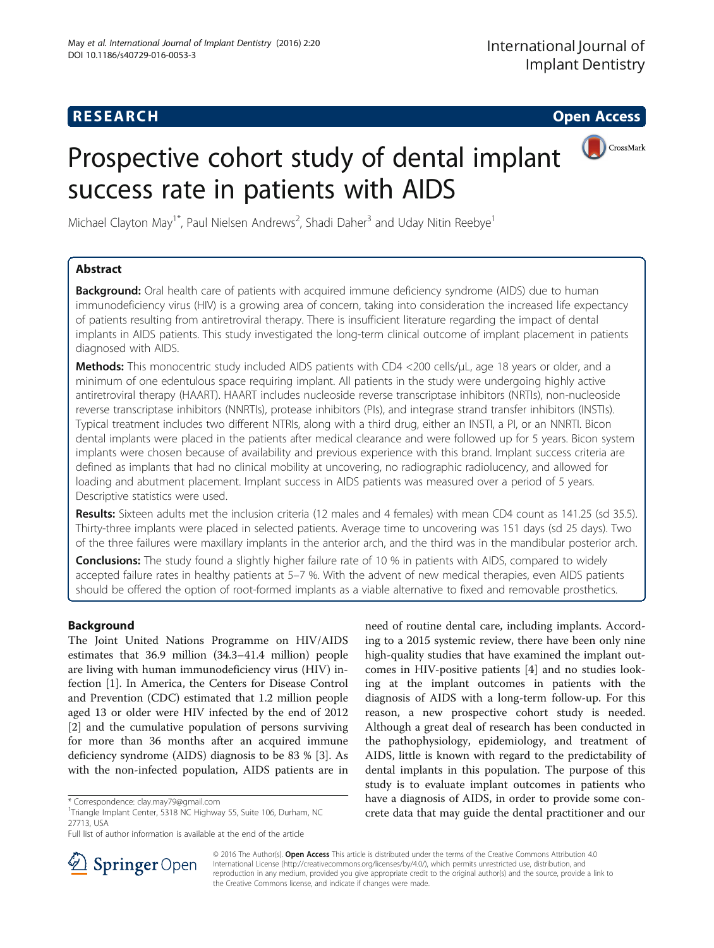## **RESEARCH CHE Open Access**

# Prospective cohort study of dental implant success rate in patients with AIDS



Michael Clayton May<sup>1\*</sup>, Paul Nielsen Andrews<sup>2</sup>, Shadi Daher<sup>3</sup> and Uday Nitin Reebye<sup>1</sup>

## Abstract

**Background:** Oral health care of patients with acquired immune deficiency syndrome (AIDS) due to human immunodeficiency virus (HIV) is a growing area of concern, taking into consideration the increased life expectancy of patients resulting from antiretroviral therapy. There is insufficient literature regarding the impact of dental implants in AIDS patients. This study investigated the long-term clinical outcome of implant placement in patients diagnosed with AIDS.

Methods: This monocentric study included AIDS patients with CD4 <200 cells/μL, age 18 years or older, and a minimum of one edentulous space requiring implant. All patients in the study were undergoing highly active antiretroviral therapy (HAART). HAART includes nucleoside reverse transcriptase inhibitors (NRTIs), non-nucleoside reverse transcriptase inhibitors (NNRTIs), protease inhibitors (PIs), and integrase strand transfer inhibitors (INSTIs). Typical treatment includes two different NTRIs, along with a third drug, either an INSTI, a PI, or an NNRTI. Bicon dental implants were placed in the patients after medical clearance and were followed up for 5 years. Bicon system implants were chosen because of availability and previous experience with this brand. Implant success criteria are defined as implants that had no clinical mobility at uncovering, no radiographic radiolucency, and allowed for loading and abutment placement. Implant success in AIDS patients was measured over a period of 5 years. Descriptive statistics were used.

Results: Sixteen adults met the inclusion criteria (12 males and 4 females) with mean CD4 count as 141.25 (sd 35.5). Thirty-three implants were placed in selected patients. Average time to uncovering was 151 days (sd 25 days). Two of the three failures were maxillary implants in the anterior arch, and the third was in the mandibular posterior arch.

**Conclusions:** The study found a slightly higher failure rate of 10 % in patients with AIDS, compared to widely accepted failure rates in healthy patients at 5–7 %. With the advent of new medical therapies, even AIDS patients should be offered the option of root-formed implants as a viable alternative to fixed and removable prosthetics.

## Background

The Joint United Nations Programme on HIV/AIDS estimates that 36.9 million (34.3–41.4 million) people are living with human immunodeficiency virus (HIV) infection [\[1](#page-3-0)]. In America, the Centers for Disease Control and Prevention (CDC) estimated that 1.2 million people aged 13 or older were HIV infected by the end of 2012 [[2\]](#page-3-0) and the cumulative population of persons surviving for more than 36 months after an acquired immune deficiency syndrome (AIDS) diagnosis to be 83 % [\[3](#page-4-0)]. As with the non-infected population, AIDS patients are in

need of routine dental care, including implants. According to a 2015 systemic review, there have been only nine high-quality studies that have examined the implant outcomes in HIV-positive patients [[4\]](#page-4-0) and no studies looking at the implant outcomes in patients with the diagnosis of AIDS with a long-term follow-up. For this reason, a new prospective cohort study is needed. Although a great deal of research has been conducted in the pathophysiology, epidemiology, and treatment of AIDS, little is known with regard to the predictability of dental implants in this population. The purpose of this study is to evaluate implant outcomes in patients who have a diagnosis of AIDS, in order to provide some concrete data that may guide the dental practitioner and our



© 2016 The Author(s). Open Access This article is distributed under the terms of the Creative Commons Attribution 4.0 International License ([http://creativecommons.org/licenses/by/4.0/\)](http://creativecommons.org/licenses/by/4.0/), which permits unrestricted use, distribution, and reproduction in any medium, provided you give appropriate credit to the original author(s) and the source, provide a link to the Creative Commons license, and indicate if changes were made.

<sup>\*</sup> Correspondence: [clay.may79@gmail.com](mailto:clay.may79@gmail.com) <sup>1</sup>

<sup>&</sup>lt;sup>1</sup>Triangle Implant Center, 5318 NC Highway 55, Suite 106, Durham, NC 27713, USA

Full list of author information is available at the end of the article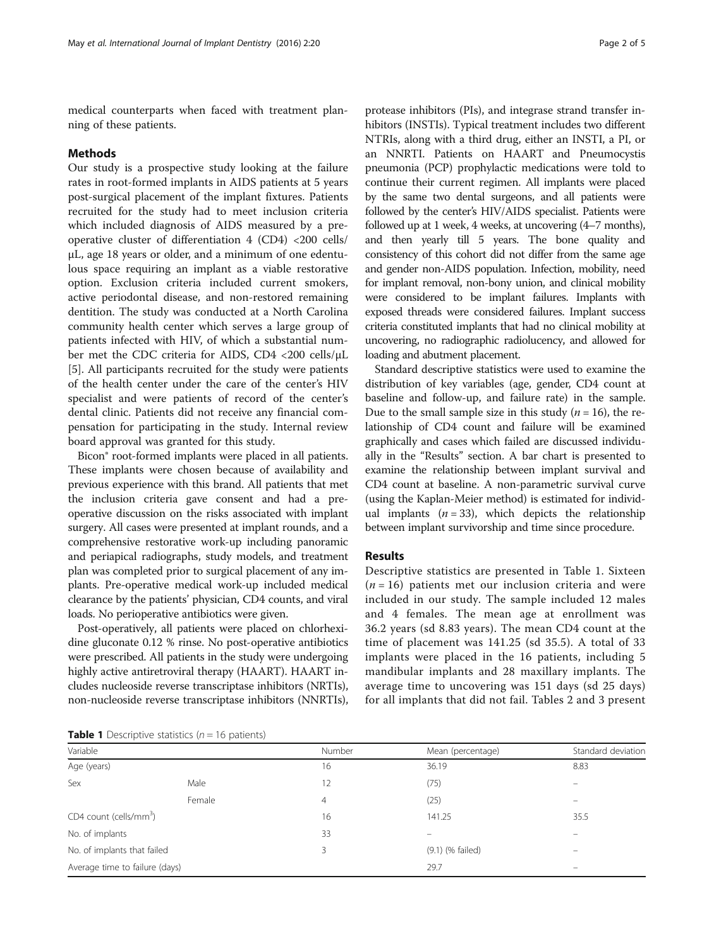medical counterparts when faced with treatment planning of these patients.

#### Methods

Our study is a prospective study looking at the failure rates in root-formed implants in AIDS patients at 5 years post-surgical placement of the implant fixtures. Patients recruited for the study had to meet inclusion criteria which included diagnosis of AIDS measured by a preoperative cluster of differentiation 4 (CD4) <200 cells/ μL, age 18 years or older, and a minimum of one edentulous space requiring an implant as a viable restorative option. Exclusion criteria included current smokers, active periodontal disease, and non-restored remaining dentition. The study was conducted at a North Carolina community health center which serves a large group of patients infected with HIV, of which a substantial number met the CDC criteria for AIDS, CD4 <200 cells/μL [[5\]](#page-4-0). All participants recruited for the study were patients of the health center under the care of the center's HIV specialist and were patients of record of the center's dental clinic. Patients did not receive any financial compensation for participating in the study. Internal review board approval was granted for this study.

Bicon® root-formed implants were placed in all patients. These implants were chosen because of availability and previous experience with this brand. All patients that met the inclusion criteria gave consent and had a preoperative discussion on the risks associated with implant surgery. All cases were presented at implant rounds, and a comprehensive restorative work-up including panoramic and periapical radiographs, study models, and treatment plan was completed prior to surgical placement of any implants. Pre-operative medical work-up included medical clearance by the patients' physician, CD4 counts, and viral loads. No perioperative antibiotics were given.

Post-operatively, all patients were placed on chlorhexidine gluconate 0.12 % rinse. No post-operative antibiotics were prescribed. All patients in the study were undergoing highly active antiretroviral therapy (HAART). HAART includes nucleoside reverse transcriptase inhibitors (NRTIs), non-nucleoside reverse transcriptase inhibitors (NNRTIs),

protease inhibitors (PIs), and integrase strand transfer inhibitors (INSTIs). Typical treatment includes two different NTRIs, along with a third drug, either an INSTI, a PI, or an NNRTI. Patients on HAART and Pneumocystis pneumonia (PCP) prophylactic medications were told to continue their current regimen. All implants were placed by the same two dental surgeons, and all patients were followed by the center's HIV/AIDS specialist. Patients were followed up at 1 week, 4 weeks, at uncovering (4–7 months), and then yearly till 5 years. The bone quality and consistency of this cohort did not differ from the same age and gender non-AIDS population. Infection, mobility, need for implant removal, non-bony union, and clinical mobility were considered to be implant failures. Implants with exposed threads were considered failures. Implant success criteria constituted implants that had no clinical mobility at uncovering, no radiographic radiolucency, and allowed for loading and abutment placement.

Standard descriptive statistics were used to examine the distribution of key variables (age, gender, CD4 count at baseline and follow-up, and failure rate) in the sample. Due to the small sample size in this study  $(n = 16)$ , the relationship of CD4 count and failure will be examined graphically and cases which failed are discussed individually in the "Results" section. A bar chart is presented to examine the relationship between implant survival and CD4 count at baseline. A non-parametric survival curve (using the Kaplan-Meier method) is estimated for individual implants  $(n = 33)$ , which depicts the relationship between implant survivorship and time since procedure.

#### Results

Descriptive statistics are presented in Table 1. Sixteen  $(n = 16)$  patients met our inclusion criteria and were included in our study. The sample included 12 males and 4 females. The mean age at enrollment was 36.2 years (sd 8.83 years). The mean CD4 count at the time of placement was 141.25 (sd 35.5). A total of 33 implants were placed in the 16 patients, including 5 mandibular implants and 28 maxillary implants. The average time to uncovering was 151 days (sd 25 days) for all implants that did not fail. Tables [2](#page-2-0) and [3](#page-2-0) present

**Table 1** Descriptive statistics ( $n = 16$  patients)

| Variable                           |        | Number | Mean (percentage) | Standard deviation       |
|------------------------------------|--------|--------|-------------------|--------------------------|
| Age (years)                        |        | 16     | 36.19             | 8.83                     |
| Sex                                | Male   | 12     | (75)              |                          |
|                                    | Female | 4      | (25)              | $\overline{\phantom{0}}$ |
| CD4 count (cells/mm <sup>3</sup> ) |        | 16     | 141.25            | 35.5                     |
| No. of implants                    |        | 33     |                   |                          |
| No. of implants that failed        |        | 3      | (9.1) (% failed)  | $\overline{\phantom{0}}$ |
| Average time to failure (days)     |        |        | 29.7              |                          |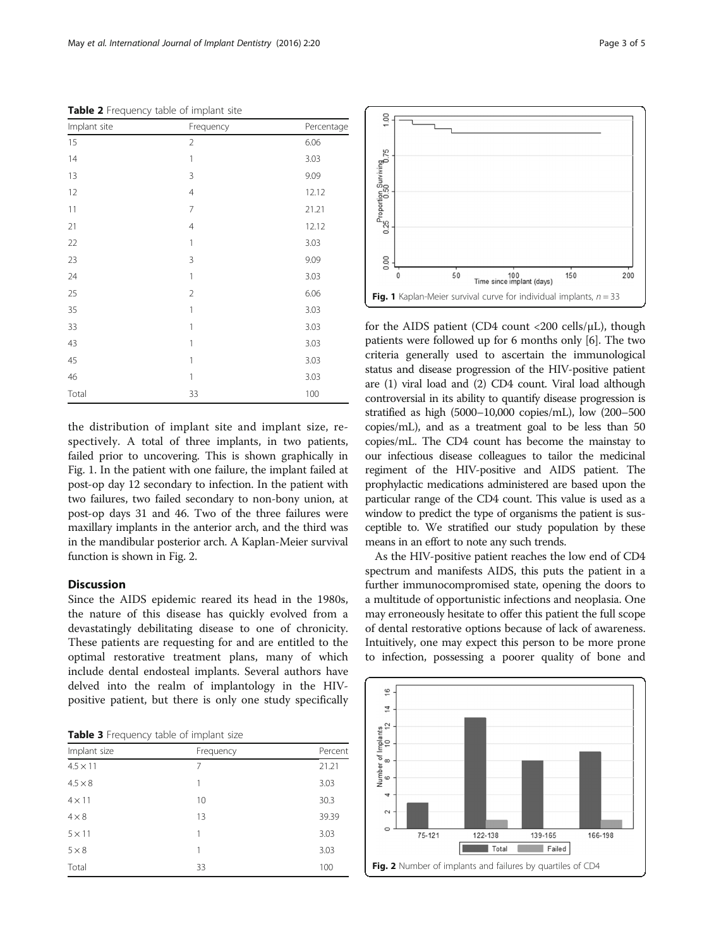<span id="page-2-0"></span>Table 2 Frequency table of implant site

| Implant site | Frequency      | Percentage |
|--------------|----------------|------------|
| 15           | $\overline{2}$ | 6.06       |
| 14           | 1              | 3.03       |
| 13           | 3              | 9.09       |
| 12           | $\overline{4}$ | 12.12      |
| 11           | 7              | 21.21      |
| 21           | 4              | 12.12      |
| 22           | 1              | 3.03       |
| 23           | 3              | 9.09       |
| 24           | 1              | 3.03       |
| 25           | $\overline{2}$ | 6.06       |
| 35           | 1              | 3.03       |
| 33           | 1              | 3.03       |
| 43           | 1              | 3.03       |
| 45           | 1              | 3.03       |
| 46           | 1              | 3.03       |
| Total        | 33             | 100        |

the distribution of implant site and implant size, respectively. A total of three implants, in two patients, failed prior to uncovering. This is shown graphically in Fig. 1. In the patient with one failure, the implant failed at post-op day 12 secondary to infection. In the patient with two failures, two failed secondary to non-bony union, at post-op days 31 and 46. Two of the three failures were maxillary implants in the anterior arch, and the third was in the mandibular posterior arch. A Kaplan-Meier survival function is shown in Fig. 2.

#### Discussion

Since the AIDS epidemic reared its head in the 1980s, the nature of this disease has quickly evolved from a devastatingly debilitating disease to one of chronicity. These patients are requesting for and are entitled to the optimal restorative treatment plans, many of which include dental endosteal implants. Several authors have delved into the realm of implantology in the HIVpositive patient, but there is only one study specifically

Table 3 Frequency table of implant size

| Implant size    | Frequency | Percent |
|-----------------|-----------|---------|
| $4.5 \times 11$ | 7         | 21.21   |
| $4.5 \times 8$  | 1         | 3.03    |
| $4 \times 11$   | 10        | 30.3    |
| $4 \times 8$    | 13        | 39.39   |
| $5 \times 11$   | 1         | 3.03    |
| $5 \times 8$    | 1         | 3.03    |
| Total           | 33        | 100     |





for the AIDS patient (CD4 count  $\langle 200 \text{ cells/}\mu\text{L} \rangle$ , though patients were followed up for 6 months only [\[6](#page-4-0)]. The two criteria generally used to ascertain the immunological status and disease progression of the HIV-positive patient are (1) viral load and (2) CD4 count. Viral load although controversial in its ability to quantify disease progression is stratified as high (5000–10,000 copies/mL), low (200–500 copies/mL), and as a treatment goal to be less than 50 copies/mL. The CD4 count has become the mainstay to our infectious disease colleagues to tailor the medicinal regiment of the HIV-positive and AIDS patient. The prophylactic medications administered are based upon the particular range of the CD4 count. This value is used as a window to predict the type of organisms the patient is susceptible to. We stratified our study population by these means in an effort to note any such trends.

As the HIV-positive patient reaches the low end of CD4 spectrum and manifests AIDS, this puts the patient in a further immunocompromised state, opening the doors to a multitude of opportunistic infections and neoplasia. One may erroneously hesitate to offer this patient the full scope of dental restorative options because of lack of awareness. Intuitively, one may expect this person to be more prone to infection, possessing a poorer quality of bone and

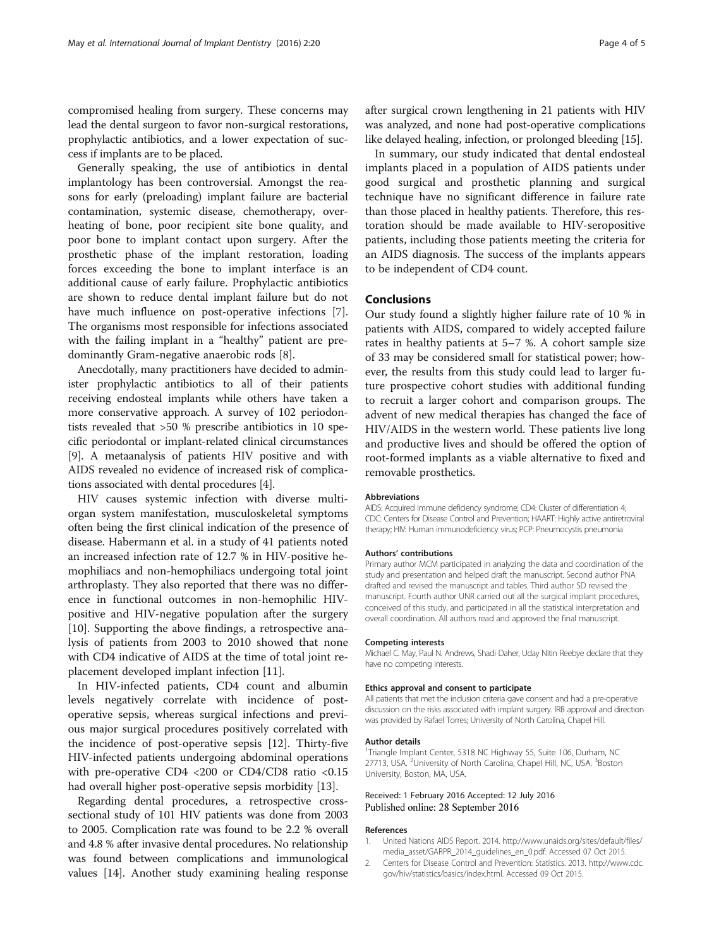<span id="page-3-0"></span>compromised healing from surgery. These concerns may lead the dental surgeon to favor non-surgical restorations, prophylactic antibiotics, and a lower expectation of success if implants are to be placed.

Generally speaking, the use of antibiotics in dental implantology has been controversial. Amongst the reasons for early (preloading) implant failure are bacterial contamination, systemic disease, chemotherapy, overheating of bone, poor recipient site bone quality, and poor bone to implant contact upon surgery. After the prosthetic phase of the implant restoration, loading forces exceeding the bone to implant interface is an additional cause of early failure. Prophylactic antibiotics are shown to reduce dental implant failure but do not have much influence on post-operative infections [\[7](#page-4-0)]. The organisms most responsible for infections associated with the failing implant in a "healthy" patient are predominantly Gram-negative anaerobic rods [[8\]](#page-4-0).

Anecdotally, many practitioners have decided to administer prophylactic antibiotics to all of their patients receiving endosteal implants while others have taken a more conservative approach. A survey of 102 periodontists revealed that >50 % prescribe antibiotics in 10 specific periodontal or implant-related clinical circumstances [[9\]](#page-4-0). A metaanalysis of patients HIV positive and with AIDS revealed no evidence of increased risk of complications associated with dental procedures [\[4](#page-4-0)].

HIV causes systemic infection with diverse multiorgan system manifestation, musculoskeletal symptoms often being the first clinical indication of the presence of disease. Habermann et al. in a study of 41 patients noted an increased infection rate of 12.7 % in HIV-positive hemophiliacs and non-hemophiliacs undergoing total joint arthroplasty. They also reported that there was no difference in functional outcomes in non-hemophilic HIVpositive and HIV-negative population after the surgery [[10\]](#page-4-0). Supporting the above findings, a retrospective analysis of patients from 2003 to 2010 showed that none with CD4 indicative of AIDS at the time of total joint replacement developed implant infection [\[11](#page-4-0)].

In HIV-infected patients, CD4 count and albumin levels negatively correlate with incidence of postoperative sepsis, whereas surgical infections and previous major surgical procedures positively correlated with the incidence of post-operative sepsis [[12\]](#page-4-0). Thirty-five HIV-infected patients undergoing abdominal operations with pre-operative CD4 <200 or CD4/CD8 ratio <0.15 had overall higher post-operative sepsis morbidity [\[13\]](#page-4-0).

Regarding dental procedures, a retrospective crosssectional study of 101 HIV patients was done from 2003 to 2005. Complication rate was found to be 2.2 % overall and 4.8 % after invasive dental procedures. No relationship was found between complications and immunological values [\[14](#page-4-0)]. Another study examining healing response

In summary, our study indicated that dental endosteal implants placed in a population of AIDS patients under good surgical and prosthetic planning and surgical technique have no significant difference in failure rate than those placed in healthy patients. Therefore, this restoration should be made available to HIV-seropositive patients, including those patients meeting the criteria for an AIDS diagnosis. The success of the implants appears to be independent of CD4 count.

#### Conclusions

Our study found a slightly higher failure rate of 10 % in patients with AIDS, compared to widely accepted failure rates in healthy patients at 5–7 %. A cohort sample size of 33 may be considered small for statistical power; however, the results from this study could lead to larger future prospective cohort studies with additional funding to recruit a larger cohort and comparison groups. The advent of new medical therapies has changed the face of HIV/AIDS in the western world. These patients live long and productive lives and should be offered the option of root-formed implants as a viable alternative to fixed and removable prosthetics.

#### Abbreviations

AIDS: Acquired immune deficiency syndrome; CD4: Cluster of differentiation 4; CDC: Centers for Disease Control and Prevention; HAART: Highly active antiretroviral therapy; HIV: Human immunodeficiency virus; PCP: Pneumocystis pneumonia

#### Authors' contributions

Primary author MCM participated in analyzing the data and coordination of the study and presentation and helped draft the manuscript. Second author PNA drafted and revised the manuscript and tables. Third author SD revised the manuscript. Fourth author UNR carried out all the surgical implant procedures, conceived of this study, and participated in all the statistical interpretation and overall coordination. All authors read and approved the final manuscript.

#### Competing interests

Michael C. May, Paul N. Andrews, Shadi Daher, Uday Nitin Reebye declare that they have no competing interests.

#### Ethics approval and consent to participate

All patients that met the inclusion criteria gave consent and had a pre-operative discussion on the risks associated with implant surgery. IRB approval and direction was provided by Rafael Torres; University of North Carolina, Chapel Hill.

#### Author details

<sup>1</sup>Triangle Implant Center, 5318 NC Highway 55, Suite 106, Durham, NC 27713, USA. <sup>2</sup>University of North Carolina, Chapel Hill, NC, USA. <sup>3</sup>Boston University, Boston, MA, USA.

#### Received: 1 February 2016 Accepted: 12 July 2016 Published online: 28 September 2016

#### References

- 1. United Nations AIDS Report. 2014. [http://www.unaids.org/sites/default/files/](http://www.unaids.org/sites/default/files/media_asset/GARPR_2014_guidelines_en_0.pdf) [media\\_asset/GARPR\\_2014\\_guidelines\\_en\\_0.pdf.](http://www.unaids.org/sites/default/files/media_asset/GARPR_2014_guidelines_en_0.pdf) Accessed 07 Oct 2015.
- 2. Centers for Disease Control and Prevention: Statistics. 2013. [http://www.cdc.](http://www.cdc.gov/hiv/statistics/basics/index.html) [gov/hiv/statistics/basics/index.html](http://www.cdc.gov/hiv/statistics/basics/index.html). Accessed 09 Oct 2015.